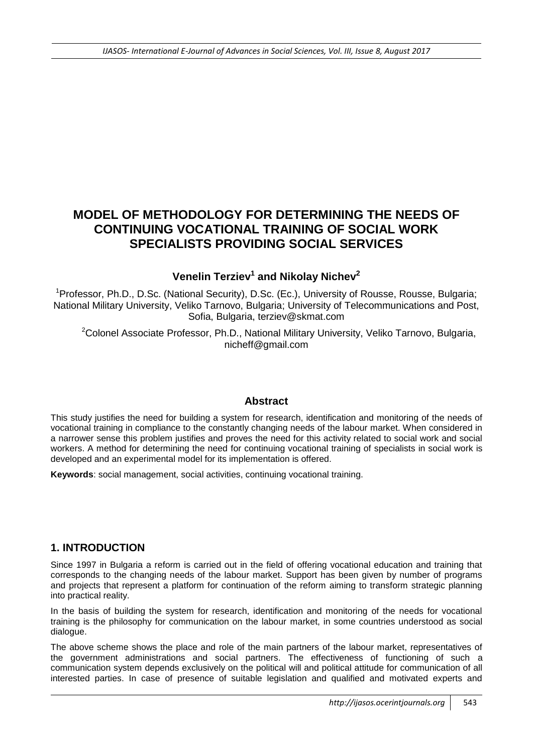# **MODEL OF METHODOLOGY FOR DETERMINING THE NEEDS OF CONTINUING VOCATIONAL TRAINING OF SOCIAL WORK SPECIALISTS PROVIDING SOCIAL SERVICES**

# **Venelin Terziev<sup>1</sup> and Nikolay Nichev<sup>2</sup>**

<sup>1</sup> Professor, Ph.D., D.Sc. (National Security), D.Sc. (Ec.), University of Rousse, Rousse, Bulgaria; National Military University, Veliko Tarnovo, Bulgaria; University of Telecommunications and Post, Sofia, Bulgaria, [terziev@skmat.com](mailto:terziev@skmat.com)

 $2$ Colonel Associate Professor, Ph.D., National Military University, Veliko Tarnovo, Bulgaria, nicheff@gmail.com

#### **Abstract**

This study justifies the need for building a system for research, identification and monitoring of the needs of vocational training in compliance to the constantly changing needs of the labour market. When considered in a narrower sense this problem justifies and proves the need for this activity related to social work and social workers. A method for determining the need for continuing vocational training of specialists in social work is developed and an experimental model for its implementation is offered.

**Keywords**: social management, social activities, continuing vocational training.

## **1. INTRODUCTION**

Since 1997 in Bulgaria a reform is carried out in the field of offering vocational education and training that corresponds to the changing needs of the labour market. Support has been given by number of programs and projects that represent a platform for continuation of the reform aiming to transform strategic planning into practical reality.

In the basis of building the system for research, identification and monitoring of the needs for vocational training is the philosophy for communication on the labour market, in some countries understood as social dialogue.

The above scheme shows the place and role of the main partners of the labour market, representatives of the government administrations and social partners. The effectiveness of functioning of such a communication system depends exclusively on the political will and political attitude for communication of all interested parties. In case of presence of suitable legislation and qualified and motivated experts and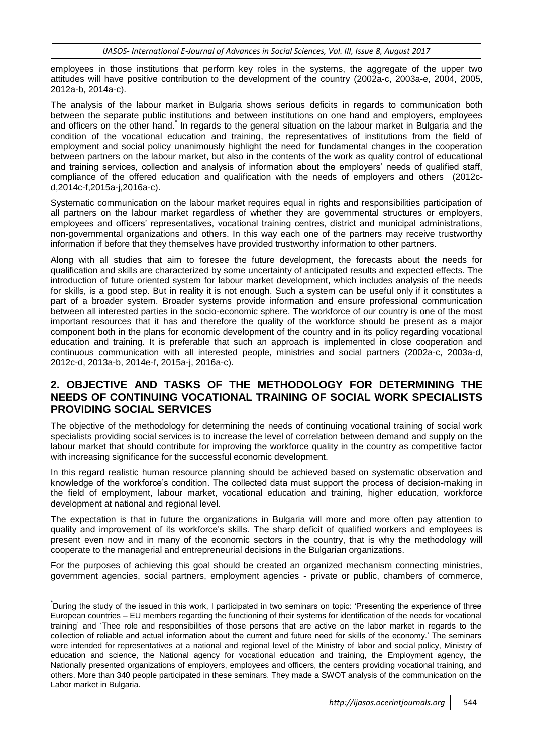employees in those institutions that perform key roles in the systems, the aggregate of the upper two attitudes will have positive contribution to the development of the country (2002a-c, 2003a-e, 2004, 2005, 2012a-b, 2014a-c).

The analysis of the labour market in Bulgaria shows serious deficits in regards to communication both between the separate public institutions and between institutions on one hand and employers, employees and officers on the other hand. In regards to the general situation on the labour market in Bulgaria and the condition of the vocational education and training, the representatives of institutions from the field of employment and social policy unanimously highlight the need for fundamental changes in the cooperation between partners on the labour market, but also in the contents of the work as quality control of educational and training services, collection and analysis of information about the employers' needs of qualified staff, compliance of the offered education and qualification with the needs of employers and others (2012cd,2014c-f,2015a-j,2016a-c).

Systematic communication on the labour market requires equal in rights and responsibilities participation of all partners on the labour market regardless of whether they are governmental structures or employers, employees and officers' representatives, vocational training centres, district and municipal administrations, non-governmental organizations and others. In this way each one of the partners may receive trustworthy information if before that they themselves have provided trustworthy information to other partners.

Along with all studies that aim to foresee the future development, the forecasts about the needs for qualification and skills are characterized by some uncertainty of anticipated results and expected effects. The introduction of future oriented system for labour market development, which includes analysis of the needs for skills, is a good step. But in reality it is not enough. Such a system can be useful only if it constitutes a part of a broader system. Broader systems provide information and ensure professional communication between all interested parties in the socio-economic sphere. The workforce of our country is one of the most important resources that it has and therefore the quality of the workforce should be present as a major component both in the plans for economic development of the country and in its policy regarding vocational education and training. It is preferable that such an approach is implemented in close cooperation and continuous communication with all interested people, ministries and social partners (2002a-c, 2003a-d, 2012c-d, 2013a-b, 2014e-f, 2015a-j, 2016a-c).

## **2. OBJECTIVE AND TASKS OF THE METHODOLOGY FOR DETERMINING THE NEEDS OF CONTINUING VOCATIONAL TRAINING OF SOCIAL WORK SPECIALISTS PROVIDING SOCIAL SERVICES**

The objective of the methodology for determining the needs of continuing vocational training of social work specialists providing social services is to increase the level of correlation between demand and supply on the labour market that should contribute for improving the workforce quality in the country as competitive factor with increasing significance for the successful economic development.

In this regard realistic human resource planning should be achieved based on systematic observation and knowledge of the workforce's condition. The collected data must support the process of decision-making in the field of employment, labour market, vocational education and training, higher education, workforce development at national and regional level.

The expectation is that in future the organizations in Bulgaria will more and more often pay attention to quality and improvement of its workforce's skills. The sharp deficit of qualified workers and employees is present even now and in many of the economic sectors in the country, that is why the methodology will cooperate to the managerial and entrepreneurial decisions in the Bulgarian organizations.

For the purposes of achieving this goal should be created an organized mechanism connecting ministries, government agencies, social partners, employment agencies - private or public, chambers of commerce,

1

<sup>\*</sup>During the study of the issued in this work, I participated in two seminars on topic: 'Presenting the experience of three European countries – EU members regarding the functioning of their systems for identification of the needs for vocational training' and 'Thee role and responsibilities of those persons that are active on the labor market in regards to the collection of reliable and actual information about the current and future need for skills of the economy.' The seminars were intended for representatives at a national and regional level of the Ministry of labor and social policy, Ministry of education and science, the National agency for vocational education and training, the Employment agency, the Nationally presented organizations of employers, employees and officers, the centers providing vocational training, and others. More than 340 people participated in these seminars. They made a SWOT analysis of the communication on the Labor market in Bulgaria.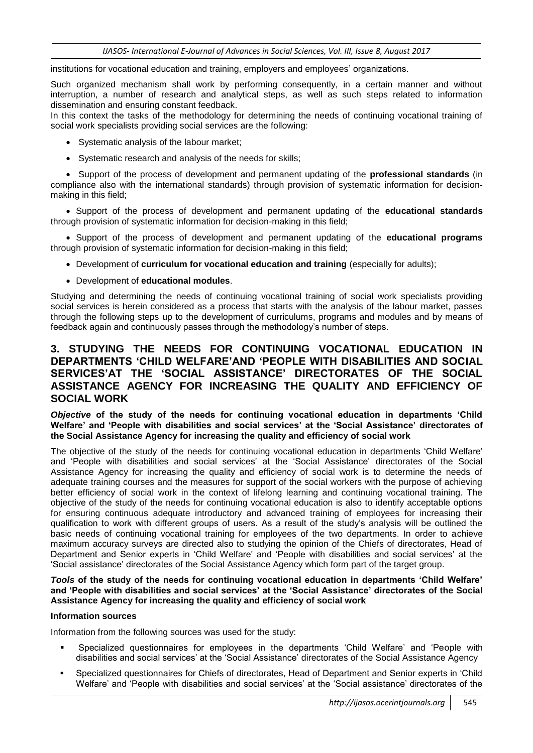institutions for vocational education and training, employers and employees' organizations.

Such organized mechanism shall work by performing consequently, in a certain manner and without interruption, a number of research and analytical steps, as well as such steps related to information dissemination and ensuring constant feedback.

In this context the tasks of the methodology for determining the needs of continuing vocational training of social work specialists providing social services are the following:

- Systematic analysis of the labour market;
- Systematic research and analysis of the needs for skills;

 Support of the process of development and permanent updating of the **professional standards** (in compliance also with the international standards) through provision of systematic information for decisionmaking in this field;

 Support of the process of development and permanent updating of the **educational standards**  through provision of systematic information for decision-making in this field;

 Support of the process of development and permanent updating of the **educational programs**  through provision of systematic information for decision-making in this field;

- **Development of curriculum for vocational education and training** (especially for adults);
- Development of **educational modules**.

Studying and determining the needs of continuing vocational training of social work specialists providing social services is herein considered as a process that starts with the analysis of the labour market, passes through the following steps up to the development of curriculums, programs and modules and by means of feedback again and continuously passes through the methodology's number of steps.

### **3. STUDYING THE NEEDS FOR CONTINUING VOCATIONAL EDUCATION IN DEPARTMENTS 'CHILD WELFARE'AND 'PEOPLE WITH DISABILITIES AND SOCIAL SERVICES'AT THE 'SOCIAL ASSISTANCE' DIRECTORATES OF THE SOCIAL ASSISTANCE AGENCY FOR INCREASING THE QUALITY AND EFFICIENCY OF SOCIAL WORK**

*Objective* **of the study of the needs for continuing vocational education in departments 'Child Welfare' and 'People with disabilities and social services' at the 'Social Assistance' directorates of the Social Assistance Agency for increasing the quality and efficiency of social work**

The objective of the study of the needs for continuing vocational education in departments 'Child Welfare' and 'People with disabilities and social services' at the 'Social Assistance' directorates of the Social Assistance Agency for increasing the quality and efficiency of social work is to determine the needs of adequate training courses and the measures for support of the social workers with the purpose of achieving better efficiency of social work in the context of lifelong learning and continuing vocational training. The objective of the study of the needs for continuing vocational education is also to identify acceptable options for ensuring continuous adequate introductory and advanced training of employees for increasing their qualification to work with different groups of users. As a result of the study's analysis will be outlined the basic needs of continuing vocational training for employees of the two departments. In order to achieve maximum accuracy surveys are directed also to studying the opinion of the Chiefs of directorates, Head of Department and Senior experts in 'Child Welfare' and 'People with disabilities and social services' at the 'Social assistance' directorates of the Social Assistance Agency which form part of the target group.

#### *Tools* **of the study of the needs for continuing vocational education in departments 'Child Welfare' and 'People with disabilities and social services' at the 'Social Assistance' directorates of the Social Assistance Agency for increasing the quality and efficiency of social work**

#### **Information sources**

Information from the following sources was used for the study:

- Specialized questionnaires for employees in the departments 'Child Welfare' and 'People with disabilities and social services' at the 'Social Assistance' directorates of the Social Assistance Agency
- Specialized questionnaires for Chiefs of directorates, Head of Department and Senior experts in 'Child Welfare' and 'People with disabilities and social services' at the 'Social assistance' directorates of the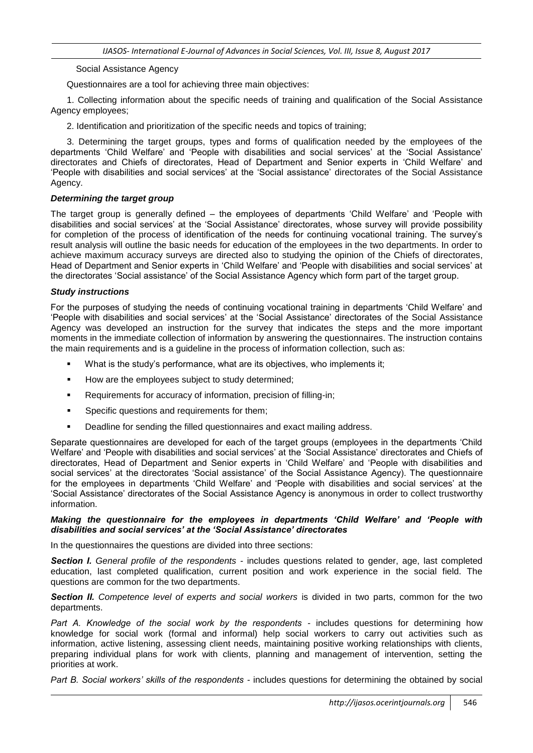Social Assistance Agency

Questionnaires are a tool for achieving three main objectives:

1. Collecting information about the specific needs of training and qualification of the Social Assistance Agency employees;

2. Identification and prioritization of the specific needs and topics of training;

3. Determining the target groups, types and forms of qualification needed by the employees of the departments 'Child Welfare' and 'People with disabilities and social services' at the 'Social Assistance' directorates and Chiefs of directorates, Head of Department and Senior experts in 'Child Welfare' and 'People with disabilities and social services' at the 'Social assistance' directorates of the Social Assistance Agency.

#### *Determining the target group*

The target group is generally defined – the employees of departments 'Child Welfare' and 'People with disabilities and social services' at the 'Social Assistance' directorates, whose survey will provide possibility for completion of the process of identification of the needs for continuing vocational training. The survey's result analysis will outline the basic needs for education of the employees in the two departments. In order to achieve maximum accuracy surveys are directed also to studying the opinion of the Chiefs of directorates, Head of Department and Senior experts in 'Child Welfare' and 'People with disabilities and social services' at the directorates 'Social assistance' of the Social Assistance Agency which form part of the target group.

#### *Study instructions*

For the purposes of studying the needs of continuing vocational training in departments 'Child Welfare' and 'People with disabilities and social services' at the 'Social Assistance' directorates of the Social Assistance Agency was developed an instruction for the survey that indicates the steps and the more important moments in the immediate collection of information by answering the questionnaires. The instruction contains the main requirements and is a guideline in the process of information collection, such as:

- What is the study's performance, what are its objectives, who implements it;
- How are the employees subject to study determined;
- Requirements for accuracy of information, precision of filling-in;
- **Specific questions and requirements for them;**
- Deadline for sending the filled questionnaires and exact mailing address.

Separate questionnaires are developed for each of the target groups (employees in the departments 'Child Welfare' and 'People with disabilities and social services' at the 'Social Assistance' directorates and Chiefs of directorates, Head of Department and Senior experts in 'Child Welfare' and 'People with disabilities and social services' at the directorates 'Social assistance' of the Social Assistance Agency). The questionnaire for the employees in departments 'Child Welfare' and 'People with disabilities and social services' at the 'Social Assistance' directorates of the Social Assistance Agency is anonymous in order to collect trustworthy information.

#### *Making the questionnaire for the employees in departments 'Child Welfare' and 'People with disabilities and social services' at the 'Social Assistance' directorates*

In the questionnaires the questions are divided into three sections:

*Section І. General profile of the respondents -* includes questions related to gender, age, last completed education, last completed qualification, current position and work experience in the social field. The questions are common for the two departments.

**Section II.** Competence level of experts and social workers is divided in two parts, common for the two departments.

*Part А. Knowledge of the social work by the respondents -* includes questions for determining how knowledge for social work (formal and informal) help social workers to carry out activities such as information, active listening, assessing client needs, maintaining positive working relationships with clients, preparing individual plans for work with clients, planning and management of intervention, setting the priorities at work.

*Part B. Social workers' skills of the respondents -* includes questions for determining the obtained by social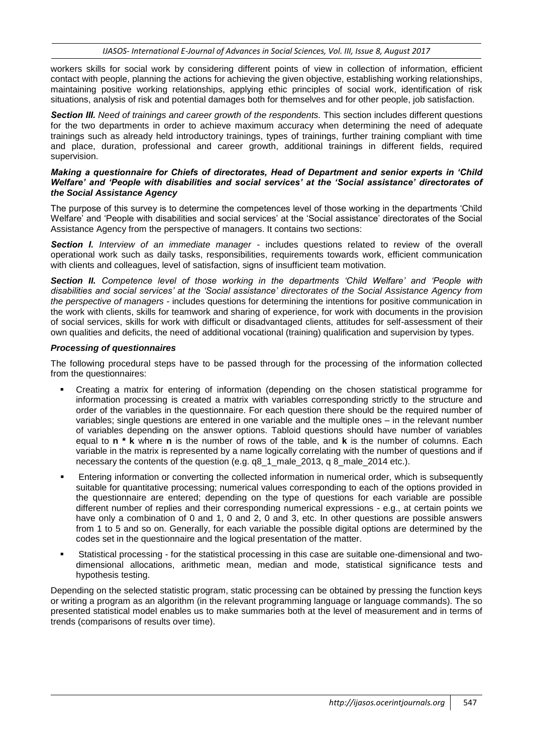workers skills for social work by considering different points of view in collection of information, efficient contact with people, planning the actions for achieving the given objective, establishing working relationships, maintaining positive working relationships, applying ethic principles of social work, identification of risk situations, analysis of risk and potential damages both for themselves and for other people, job satisfaction.

*Section ІІІ. Need of trainings and career growth of the respondents.* This section includes different questions for the two departments in order to achieve maximum accuracy when determining the need of adequate trainings such as already held introductory trainings, types of trainings, further training compliant with time and place, duration, professional and career growth, additional trainings in different fields, required supervision.

#### *Making a questionnaire for Chiefs of directorates, Head of Department and senior experts in 'Child Welfare' and 'People with disabilities and social services' at the 'Social assistance' directorates of the Social Assistance Agency*

The purpose of this survey is to determine the competences level of those working in the departments 'Child Welfare' and 'People with disabilities and social services' at the 'Social assistance' directorates of the Social Assistance Agency from the perspective of managers. It contains two sections:

*Section І. Interview of an immediate manager -* includes questions related to review of the overall operational work such as daily tasks, responsibilities, requirements towards work, efficient communication with clients and colleagues, level of satisfaction, signs of insufficient team motivation.

*Section II. Competence level of those working in the departments 'Child Welfare' and 'People with disabilities and social services' at the 'Social assistance' directorates of the Social Assistance Agency from the perspective of managers* - includes questions for determining the intentions for positive communication in the work with clients, skills for teamwork and sharing of experience, for work with documents in the provision of social services, skills for work with difficult or disadvantaged clients, attitudes for self-assessment of their own qualities and deficits, the need of additional vocational (training) qualification and supervision by types.

#### *Processing of questionnaires*

The following procedural steps have to be passed through for the processing of the information collected from the questionnaires:

- Creating a matrix for entering of information (depending on the chosen statistical programme for information processing is created a matrix with variables corresponding strictly to the structure and order of the variables in the questionnaire. For each question there should be the required number of variables; single questions are entered in one variable and the multiple ones – in the relevant number of variables depending on the answer options. Tabloid questions should have number of variables equal to **n \* k** where **n** is the number of rows of the table, and **k** is the number of columns. Each variable in the matrix is represented by a name logically correlating with the number of questions and if necessary the contents of the question (e.g. q8\_1\_male\_2013, q 8\_male\_2014 etc.).
- Entering information or converting the collected information in numerical order, which is subsequently suitable for quantitative processing; numerical values corresponding to each of the options provided in the questionnaire are entered; depending on the type of questions for each variable are possible different number of replies and their corresponding numerical expressions - e.g., at certain points we have only a combination of 0 and 1, 0 and 2, 0 and 3, etc. In other questions are possible answers from 1 to 5 and so on. Generally, for each variable the possible digital options are determined by the codes set in the questionnaire and the logical presentation of the matter.
- Statistical processing for the statistical processing in this case are suitable one-dimensional and twodimensional allocations, arithmetic mean, median and mode, statistical significance tests and hypothesis testing.

Depending on the selected statistic program, static processing can be obtained by pressing the function keys or writing a program as an algorithm (in the relevant programming language or language commands). The so presented statistical model enables us to make summaries both at the level of measurement and in terms of trends (comparisons of results over time).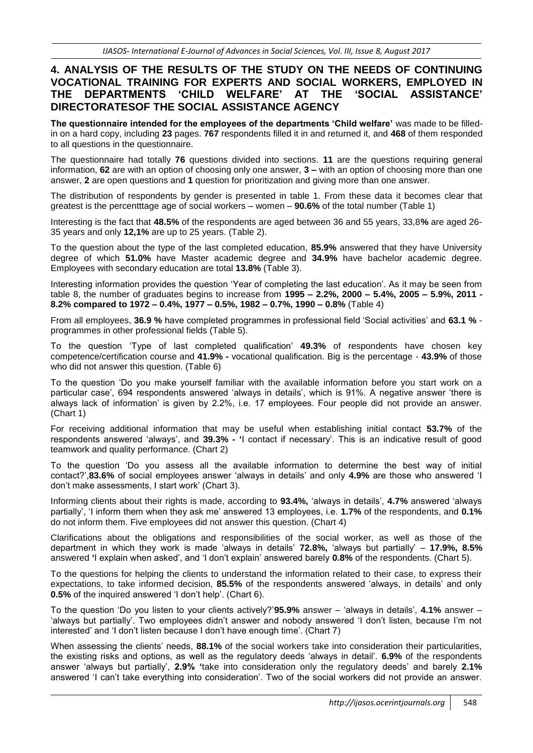### **4. ANALYSIS OF THE RESULTS OF THE STUDY ON THE NEEDS OF CONTINUING VOCATIONAL TRAINING FOR EXPERTS AND SOCIAL WORKERS, EMPLOYED IN THE DEPARTMENTS 'CHILD WELFARE' AT THE 'SOCIAL ASSISTANCE' DIRECTORATESOF THE SOCIAL ASSISTANCE AGENCY**

**The questionnaire intended for the employees of the departments 'Child welfare'** was made to be filledin on a hard copy, including **23** pages. **767** respondents filled it in and returned it, and **468** of them responded to all questions in the questionnaire.

The questionnaire had totally **76** questions divided into sections. **11** are the questions requiring general information, **62** are with an option of choosing only one answer, **3 –** with an option of choosing more than one answer, **2** are open questions and **1** question for prioritization and giving more than one answer.

The distribution of respondents by gender is presented in table 1. From these data it becomes clear that greatest is the percentttage age of social workers – women – **90.6%** of the total number (Table 1)

Interesting is the fact that **48.5%** of the respondents are aged between 36 and 55 years, 33,8**%** are aged 26- 35 years and only **12,1%** are up to 25 years. (Table 2).

To the question about the type of the last completed education, **85.9%** answered that they have University degree of which **51.0%** have Master academic degree and **34.9%** have bachelor academic degree. Employees with secondary education are total **13.8%** (Table 3).

Interesting information provides the question 'Year of completing the last education'. As it may be seen from table 8, the number of graduates begins to increase from **1995 – 2.2%, 2000 – 5.4%, 2005 – 5.9%, 2011 - 8.2% compared to 1972 – 0.4%, 1977 – 0.5%, 1982 – 0.7%, 1990 – 0.8%** (Table 4)

From all employees, **36.9 %** have completed programmes in professional field 'Social activities' and **63.1 %** programmes in other professional fields (Table 5).

To the question 'Type of last completed qualification' **49.3%** of respondents have chosen key competence/certification course and **41.9% -** vocational qualification. Big is the percentage - **43.9%** of those who did not answer this question. (Table 6)

To the question 'Do you make yourself familiar with the available information before you start work on a particular case', 694 respondents answered 'always in details', which is 91%. A negative answer 'there is always lack of information' is given by 2.2%, i.e. 17 employees. Four people did not provide an answer. (Chart 1)

For receiving additional information that may be useful when establishing initial contact **53.7%** of the respondents answered 'always', and **39.3% - '**I contact if necessary'. This is an indicative result of good teamwork and quality performance. (Chart 2)

To the question 'Do you assess all the available information to determine the best way of initial contact?',**83.6%** of social employees answer 'always in details' and only **4.9%** are those who answered 'I don't make assessments, I start work' (Chart 3).

Informing clients about their rights is made, according to **93.4%,** 'always in details', **4.7%** answered 'always partially', 'I inform them when they ask me' answered 13 employees, i.e. **1.7%** of the respondents, and **0.1%**  do not inform them. Five employees did not answer this question. (Chart 4)

Clarifications about the obligations and responsibilities of the social worker, as well as those of the department in which they work is made 'always in details' **72.8%,** 'always but partially' – **17.9%, 8.5%**  answered **'**I explain when asked', and 'I don't explain' answered barely **0.8%** of the respondents. (Chart 5).

To the questions for helping the clients to understand the information related to their case, to express their expectations, to take informed decision, **85.5%** of the respondents answered 'always, in details' and only **0.5%** of the inquired answered 'I don't help'. (Chart 6).

To the question 'Do you listen to your clients actively?'**95.9%** answer – 'always in details', **4.1%** answer – 'always but partially'. Two employees didn't answer and nobody answered 'I don't listen, because I'm not interested' and 'I don't listen because I don't have enough time'. (Chart 7)

When assessing the clients' needs, **88.1%** of the social workers take into consideration their particularities, the existing risks and options, as well as the regulatory deeds 'always in detail'. **6.9%** of the respondents answer 'always but partially', **2.9% '**take into consideration only the regulatory deeds' and barely **2.1%**  answered 'I can't take everything into consideration'. Two of the social workers did not provide an answer.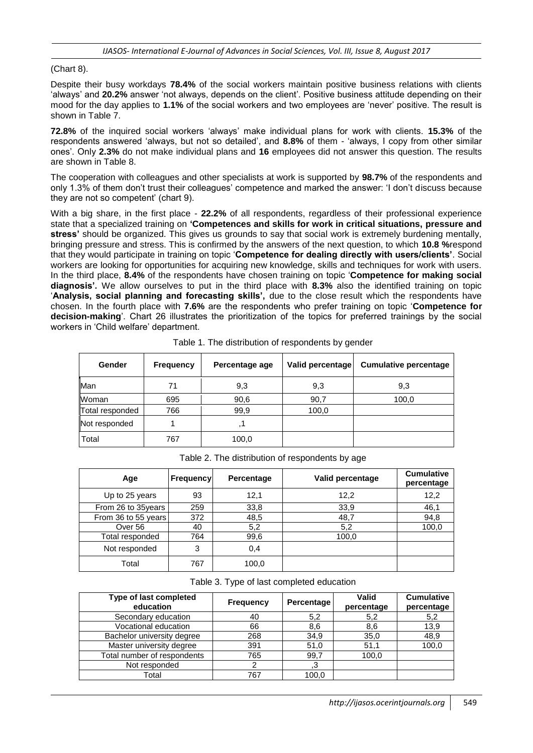(Chart 8).

Despite their busy workdays **78.4%** of the social workers maintain positive business relations with clients 'always' and **20.2%** answer 'not always, depends on the client'. Positive business attitude depending on their mood for the day applies to **1.1%** of the social workers and two employees are 'never' positive. The result is shown in Table 7.

**72.8%** of the inquired social workers 'always' make individual plans for work with clients. **15.3%** of the respondents answered 'always, but not so detailed', and **8.8%** of them - 'always, I copy from other similar ones'. Only **2.3%** do not make individual plans and **16** employees did not answer this question. The results are shown in Table 8.

The cooperation with colleagues and other specialists at work is supported by **98.7%** of the respondents and only 1.3% of them don't trust their colleagues' competence and marked the answer: 'I don't discuss because they are not so competent' (chart 9).

With a big share, in the first place - **22.2%** of all respondents, regardless of their professional experience state that a specialized training on **'Competences and skills for work in critical situations, pressure and stress'** should be organized. This gives us grounds to say that social work is extremely burdening mentally, bringing pressure and stress. This is confirmed by the answers of the next question, to which **10.8 %**respond that they would participate in training on topic '**Competence for dealing directly with users/clients'**. Social workers are looking for opportunities for acquiring new knowledge, skills and techniques for work with users. In the third place, **8.4%** of the respondents have chosen training on topic '**Competence for making social diagnosis'.** We allow ourselves to put in the third place with **8.3%** also the identified training on topic '**Analysis, social planning and forecasting skills',** due to the close result which the respondents have chosen. In the fourth place with **7.6%** are the respondents who prefer training on topic '**Competence for decision-making**'. Chart 26 illustrates the prioritization of the topics for preferred trainings by the social workers in 'Child welfare' department.

| Gender          | <b>Frequency</b> | Percentage age | Valid percentage | <b>Cumulative percentage</b> |  |
|-----------------|------------------|----------------|------------------|------------------------------|--|
| Man             | 71               | 9,3            | 9,3              | 9,3                          |  |
| Woman           | 695              | 90,6           | 90,7             | 100,0                        |  |
| Total responded | 766              | 99,9           | 100,0            |                              |  |
| Not responded   |                  |                |                  |                              |  |
| Total           | 767              | 100,0          |                  |                              |  |

Table 1. The distribution of respondents by gender

| Age                 | <b>Frequency</b> | Percentage | Valid percentage | <b>Cumulative</b><br>percentage |
|---------------------|------------------|------------|------------------|---------------------------------|
| Up to 25 years      | 93               | 12,1       | 12,2             | 12,2                            |
| From 26 to 35years  | 259              | 33,8       | 33,9             | 46,1                            |
| From 36 to 55 years | 372              | 48,5       | 48,7             | 94,8                            |
| Over 56             | 40               | 5,2        | 5,2              | 100,0                           |
| Total responded     | 764              | 99,6       | 100,0            |                                 |
| Not responded       | 3                | 0,4        |                  |                                 |
| Total               | 767              | 100,0      |                  |                                 |

Table 2. The distribution of respondents by age

Table 3. Type of last completed education

| Type of last completed<br>education | <b>Frequency</b> | Percentage | Valid<br>percentage | <b>Cumulative</b><br>percentage |
|-------------------------------------|------------------|------------|---------------------|---------------------------------|
| Secondary education                 | 40               | 5,2        | 5,2                 | 5,2                             |
| Vocational education                | 66               | 8,6        | 8,6                 | 13,9                            |
| Bachelor university degree          | 268              | 34,9       | 35,0                | 48,9                            |
| Master university degree            | 391              | 51,0       | 51,1                | 100,0                           |
| Total number of respondents         | 765              | 99,7       | 100,0               |                                 |
| Not responded                       |                  |            |                     |                                 |
| Total                               | 767              | 100,0      |                     |                                 |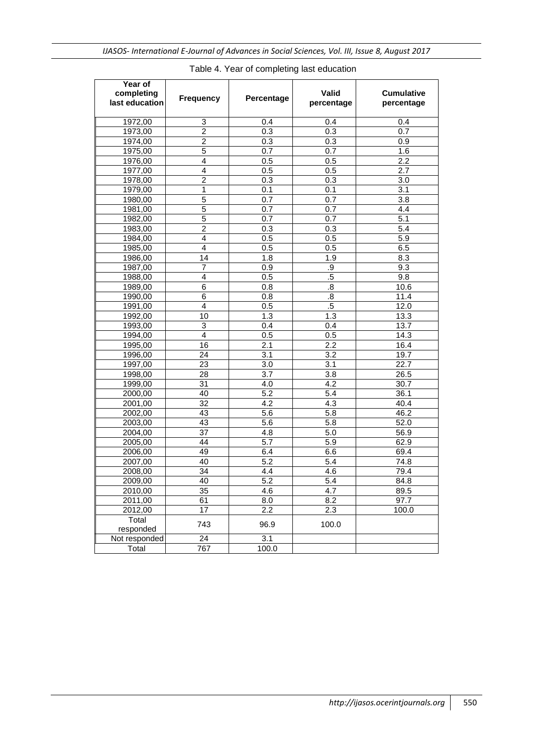| Year of<br>completing<br>last education | <b>Frequency</b> | Percentage       | <b>Valid</b><br>percentage | <b>Cumulative</b><br>percentage |
|-----------------------------------------|------------------|------------------|----------------------------|---------------------------------|
| 1972,00                                 | 3                | 0.4              | 0.4                        | 0.4                             |
| 1973,00                                 | $\overline{2}$   | 0.3              | 0.3                        | 0.7                             |
| 1974,00                                 | $\overline{2}$   | 0.3              | 0.3                        | 0.9                             |
| 1975,00                                 | $\overline{5}$   | 0.7              | 0.7                        | 1.6                             |
| 1976,00                                 | 4                | 0.5              | 0.5                        | 2.2                             |
| 1977,00                                 | 4                | 0.5              | 0.5                        | 2.7                             |
| 1978,00                                 | $\overline{2}$   | 0.3              | 0.3                        | 3.0                             |
| 1979,00                                 | 1                | 0.1              | 0.1                        | 3.1                             |
| 1980,00                                 | 5                | 0.7              | 0.7                        | 3.8                             |
| 1981,00                                 | 5                | 0.7              | 0.7                        | 4.4                             |
| 1982,00                                 | 5                | 0.7              | 0.7                        | 5.1                             |
| 1983,00                                 | $\overline{2}$   | 0.3              | 0.3                        | 5.4                             |
| 1984,00                                 | 4                | 0.5              | 0.5                        | 5.9                             |
| 1985,00                                 | 4                | 0.5              | 0.5                        | 6.5                             |
| 1986,00                                 | 14               | 1.8              | 1.9                        | 8.3                             |
| 1987,00                                 | 7                | 0.9              | .9                         | 9.3                             |
| 1988,00                                 | 4                | 0.5              | $\overline{.5}$            | 9.8                             |
| 1989,00                                 | 6                | 0.8              | $\boldsymbol{.8}$          | 10.6                            |
| 1990,00                                 | 6                | 0.8              | $\overline{.8}$            | 11.4                            |
| 1991,00                                 | 4                | 0.5              | $.5\,$                     | $\overline{12.0}$               |
| 1992,00                                 | 10               | 1.3              | 1.3                        | 13.3                            |
| 1993,00                                 | 3                | 0.4              | 0.4                        | 13.7                            |
| 1994,00                                 | $\overline{4}$   | 0.5              | 0.5                        | 14.3                            |
| 1995,00                                 | 16               | 2.1              | 2.2                        | 16.4                            |
| 1996,00                                 | $\overline{24}$  | $\overline{3.1}$ | 3.2                        | 19.7                            |
| 1997,00                                 | 23               | 3.0              | 3.1                        | 22.7                            |
| 1998,00                                 | 28               | 3.7              | 3.8                        | 26.5                            |
| 1999,00                                 | 31               | 4.0              | 4.2                        | 30.7                            |
| 2000,00                                 | 40               | 5.2              | 5.4                        | 36.1                            |
| 2001,00                                 | 32               | 4.2              | 4.3                        | 40.4                            |
| 2002,00                                 | 43               | 5.6              | 5.8                        | 46.2                            |
| 2003,00                                 | 43               | 5.6              | 5.8                        | 52.0                            |
| 2004,00                                 | 37               | 4.8              | 5.0                        | 56.9                            |
| 2005,00                                 | 44               | 5.7              | 5.9                        | 62.9                            |
| 2006,00                                 | 49               | 6.4              | 6.6                        | 69.4                            |
| 2007,00                                 | 40               | 5.2              | $\overline{5.4}$           | 74.8                            |
| 2008,00                                 | 34               | 4.4              | 4.6                        | 79.4                            |
| 2009,00                                 | 40               | $\overline{5.2}$ | 5.4                        | 84.8                            |
| 2010,00                                 | 35               | 4.6              | 4.7                        | 89.5                            |
| 2011,00                                 | 61               | 8.0              | 8.2                        | 97.7                            |
| 2012,00                                 | 17               | 2.2              | 2.3                        | 100.0                           |
| Total<br>responded                      | 743              | 96.9             | 100.0                      |                                 |
| Not responded                           | 24               | 3.1              |                            |                                 |
| Total                                   | 767              | 100.0            |                            |                                 |

### Table 4. Year of completing last education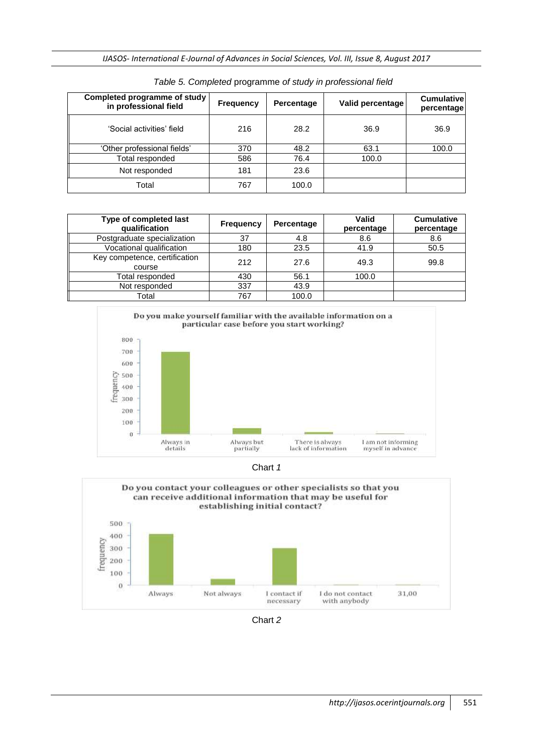*IJASOS- International E-Journal of Advances in Social Sciences, Vol. III, Issue 8, August 2017*

| Completed programme of study<br>in professional field | <b>Frequency</b> | Percentage | Valid percentage | <b>Cumulativel</b><br>percentage |
|-------------------------------------------------------|------------------|------------|------------------|----------------------------------|
| 'Social activities' field                             | 216              | 28.2       | 36.9             | 36.9                             |
| 'Other professional fields'                           | 370              | 48.2       | 63.1             | 100.0                            |
| Total responded                                       | 586              | 76.4       | 100.0            |                                  |
| Not responded                                         | 181              | 23.6       |                  |                                  |
| Total                                                 | 767              | 100.0      |                  |                                  |

*Table 5. Completed* programme *of study in professional field*

| Type of completed last<br>qualification | Frequency | Percentage | Valid<br>percentage | <b>Cumulative</b><br>percentage |
|-----------------------------------------|-----------|------------|---------------------|---------------------------------|
| Postgraduate specialization             | 37        | 4.8        | 8.6                 | 8.6                             |
| Vocational qualification                | 180       | 23.5       | 41.9                | 50.5                            |
| Key competence, certification<br>course | 212       | 27.6       | 49.3                | 99.8                            |
| Total responded                         | 430       | 56.1       | 100.0               |                                 |
| Not responded                           | 337       | 43.9       |                     |                                 |
| Total                                   | 767       | 100.0      |                     |                                 |



Chart *1*



Chart *2*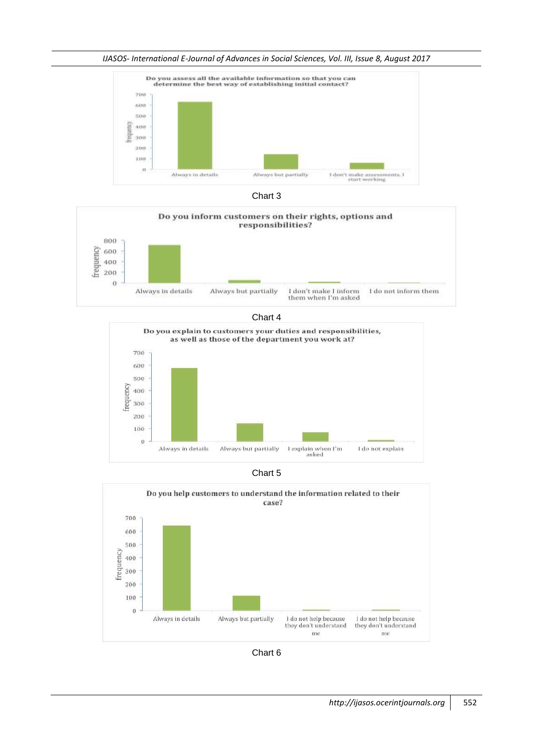*IJASOS- International E-Journal of Advances in Social Sciences, Vol. III, Issue 8, August 2017*







Chart 4







Chart 6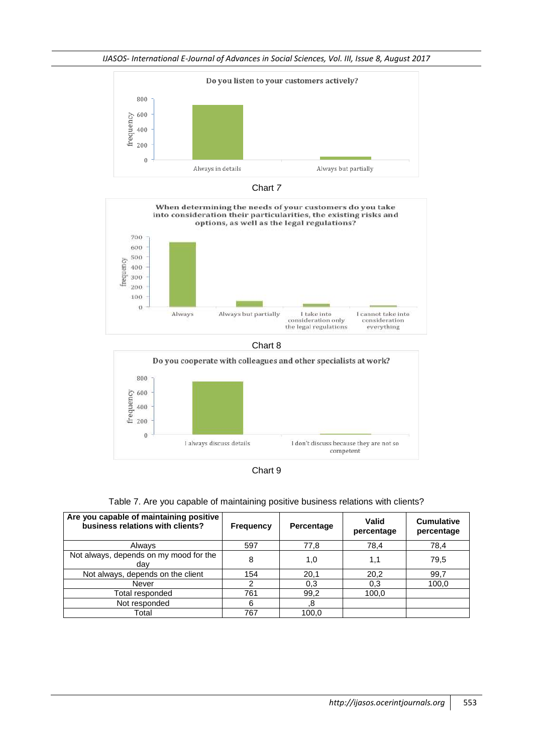















| Are you capable of maintaining positive<br>business relations with clients? | <b>Frequency</b> | Percentage | Valid<br>percentage | <b>Cumulative</b><br>percentage |
|-----------------------------------------------------------------------------|------------------|------------|---------------------|---------------------------------|
| Always                                                                      | 597              | 77,8       | 78,4                | 78,4                            |
| Not always, depends on my mood for the<br>dav                               | 8                | 1,0        | 1,1                 | 79,5                            |
| Not always, depends on the client                                           | 154              | 20,1       | 20,2                | 99,7                            |
| Never                                                                       | 2                | 0,3        | 0,3                 | 100,0                           |
| Total responded                                                             | 761              | 99,2       | 100.0               |                                 |
| Not responded                                                               | 6                | .8         |                     |                                 |
| Total                                                                       | 767              | 100.0      |                     |                                 |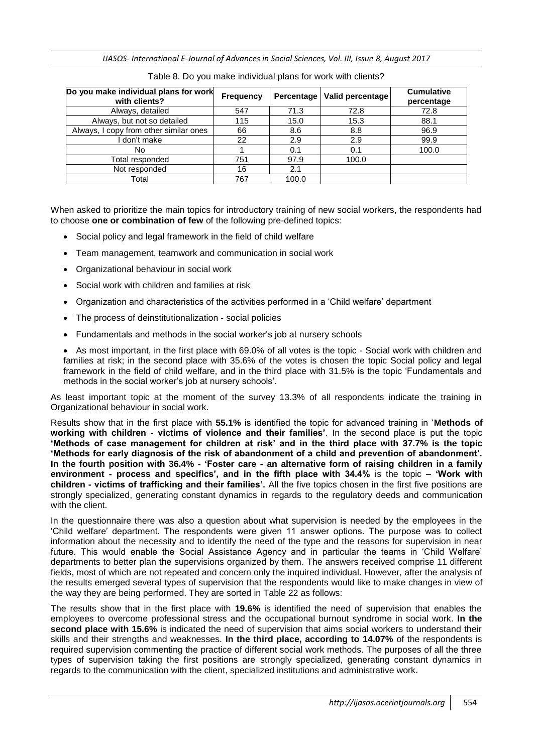*IJASOS- International E-Journal of Advances in Social Sciences, Vol. III, Issue 8, August 2017*

| Do you make individual plans for work<br>with clients? | <b>Frequency</b> |       | Percentage   Valid percentage | <b>Cumulative</b><br>percentage |
|--------------------------------------------------------|------------------|-------|-------------------------------|---------------------------------|
| Always, detailed                                       | 547              | 71.3  | 72.8                          | 72.8                            |
| Always, but not so detailed                            | 115              | 15.0  | 15.3                          | 88.1                            |
| Always, I copy from other similar ones                 | 66               | 8.6   | 8.8                           | 96.9                            |
| don't make                                             | 22               | 2.9   | 2.9                           | 99.9                            |
| No                                                     |                  | 0.1   | 0.1                           | 100.0                           |
| Total responded                                        | 751              | 97.9  | 100.0                         |                                 |
| Not responded                                          | 16               | 2.1   |                               |                                 |
| Total                                                  | 767              | 100.0 |                               |                                 |

Table 8. Do you make individual plans for work with clients?

When asked to prioritize the main topics for introductory training of new social workers, the respondents had to choose **one or combination of few** of the following pre-defined topics:

- Social policy and legal framework in the field of child welfare
- Team management, teamwork and communication in social work
- Organizational behaviour in social work
- Social work with children and families at risk
- Organization and characteristics of the activities performed in a 'Child welfare' department
- The process of deinstitutionalization social policies
- Fundamentals and methods in the social worker's job at nursery schools

• As most important, in the first place with 69.0% of all votes is the topic - Social work with children and families at risk; in the second place with 35.6% of the votes is chosen the topic Social policy and legal framework in the field of child welfare, and in the third place with 31.5% is the topic 'Fundamentals and methods in the social worker's job at nursery schools'.

As least important topic at the moment of the survey 13.3% of all respondents indicate the training in Organizational behaviour in social work.

Results show that in the first place with **55.1%** is identified the topic for advanced training in '**Methods of working with children - victims of violence and their families'**. In the second place is put the topic **'Methods of case management for children at risk' and in the third place with 37.7% is the topic 'Methods for early diagnosis of the risk of abandonment of a child and prevention of abandonment'. In the fourth position with 36.4% - 'Foster care - an alternative form of raising children in a family environment - process and specifics', and in the fifth place with 34.4%** is the topic – **'Work with children - victims of trafficking and their families'.** All the five topics chosen in the first five positions are strongly specialized, generating constant dynamics in regards to the regulatory deeds and communication with the client.

In the questionnaire there was also a question about what supervision is needed by the employees in the 'Child welfare' department. The respondents were given 11 answer options. The purpose was to collect information about the necessity and to identify the need of the type and the reasons for supervision in near future. This would enable the Social Assistance Agency and in particular the teams in 'Child Welfare' departments to better plan the supervisions organized by them. The answers received comprise 11 different fields, most of which are not repeated and concern only the inquired individual. However, after the analysis of the results emerged several types of supervision that the respondents would like to make changes in view of the way they are being performed. They are sorted in Table 22 as follows:

The results show that in the first place with **19.6%** is identified the need of supervision that enables the employees to overcome professional stress and the occupational burnout syndrome in social work. **In the second place with 15.6%** is indicated the need of supervision that aims social workers to understand their skills and their strengths and weaknesses. **In the third place, according to 14.07%** of the respondents is required supervision commenting the practice of different social work methods. The purposes of all the three types of supervision taking the first positions are strongly specialized, generating constant dynamics in regards to the communication with the client, specialized institutions and administrative work.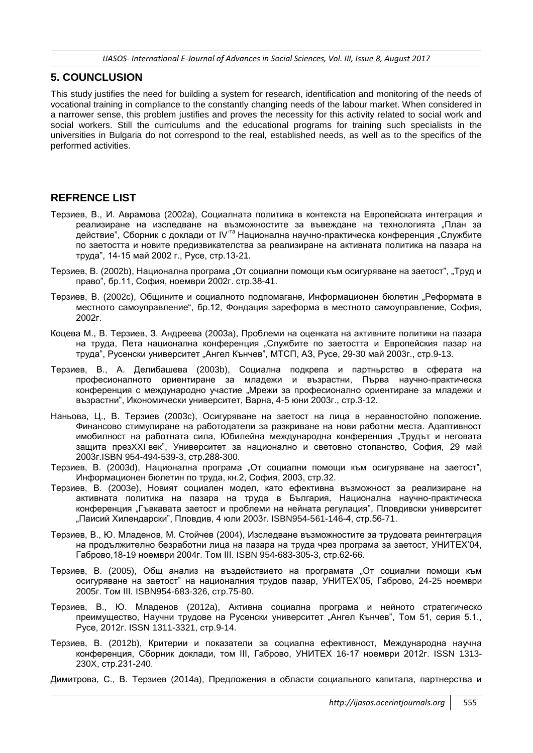### **5. COUNCLUSION**

This study justifies the need for building a system for research, identification and monitoring of the needs of vocational training in compliance to the constantly changing needs of the labour market. When considered in a narrower sense, this problem justifies and proves the necessity for this activity related to social work and social workers. Still the curriculums and the educational programs for training such specialists in the universities in Bulgaria do not correspond to the real, established needs, as well as to the specifics of the performed activities.

### **REFRENCE LIST**

- Терзиев, В., И. Аврамова (2002a), Социалната политика в контекста на Европейската интеграция и реализиране на изследване на възможностите за въвеждане на технологията "План за действие", Сборник с доклади от IV<sup>-та</sup> Национална научно-практическа конференция "Службите по заетостта и новите предизвикателства за реализиране на активната политика на пазара на труда", 14-15 май 2002 г., Русе, стр.13-21.
- Терзиев, В. (2002b), Национална програма "От социални помощи към осигуряване на заетост", "Труд и право", бр.11, София, ноември 2002г. стр.38-41.
- Терзиев, В. (2002с), Общините и социалното подпомагане, Информационен бюлетин "Реформата в местното самоуправление", бр.12, Фондация зареформа в местното самоуправление, София, 2002г.
- Коцева М., В. Терзиев, З. Андреева (2003a), Проблеми на оценката на активните политики на пазара на труда, Пета национална конференция "Службите по заетостта и Европейския пазар на труда", Русенски университет "Ангел Кънчев", МТСП, АЗ, Русе, 29-30 май 2003г., стр.9-13.
- Терзиев, В., А. Делибашева (2003b), Социална подкрепа и партньрство в сферата на професионалното ориентиране за младежи и възрастни, Първа научно-практическа конференция с международно участие "Мрежи за професионално ориентиране за младежи и възрастни", Икономически университет, Варна, 4-5 юни 2003г., стр.3-12.
- Наньова, Ц., В. Терзиев (2003c), Осигуряване на заетост на лица в неравностойно положение. Финансово стимулиране на работодатели за разкриване на нови работни места. Адаптивност имобилност на работната сила, Юбилейна международна конференция "Трудът и неговата защита презXXI век", Университет за национално и световно стопанство, София, 29 май 2003г.ISBN 954-494-539-3, стр.288-300.
- Терзиев, В. (2003d), Национална програма "От социални помощи към осигуряване на заетост", Информационен бюлетин по труда, кн.2, София, 2003, стр.32.
- Терзиев, В. (2003e), Новият социален модел, като ефективна възможност за реализиране на активната политика на пазара на труда в България, Национална научно-практическа конференция "Гъвкавата заетост и проблеми на нейната регулация", Пловдивски университет "Паисий Хилендарски", Пловдив, 4 юли 2003г. ISBN954-561-146-4, стр.56-71.
- Терзиев, В., Ю. Младенов, М. Стойчев (2004), Изследване възможностите за трудовата реинтеграция на продължително безработни лица на пазара на труда чрез програма за заетост, УНИТЕХ'04, Габрово,18-19 ноември 2004г. Том III. ISBN 954-683-305-3, стр.62-66.
- Терзиев, В. (2005), Общ анализ на въздействието на програмата "От социални помощи към осигуряване на заетост" на националния трудов пазар, УНИТЕХ'05, Габрово, 24-25 ноември 2005г. Том III. ISBN954-683-326, стр.75-80.
- Терзиев, В., Ю. Младенов (2012a), Активна социална програма и нейното стратегическо преимущество, Научни трудове на Русенски университет "Ангел Кънчев", Том 51, серия 5.1., Русе, 2012г. ISSN 1311-3321, стр.9-14.
- Терзиев, В. (2012b), Критерии и показатели за социална ефективност, Международна научна конференция, Сборник доклади, том III, Габрово, УНИТЕХ 16-17 ноември 2012г. ISSN 1313- 230X, стр.231-240.
- Димитрова, С., В. Терзиев (2014a), Предложения в области социального капитала, партнерства и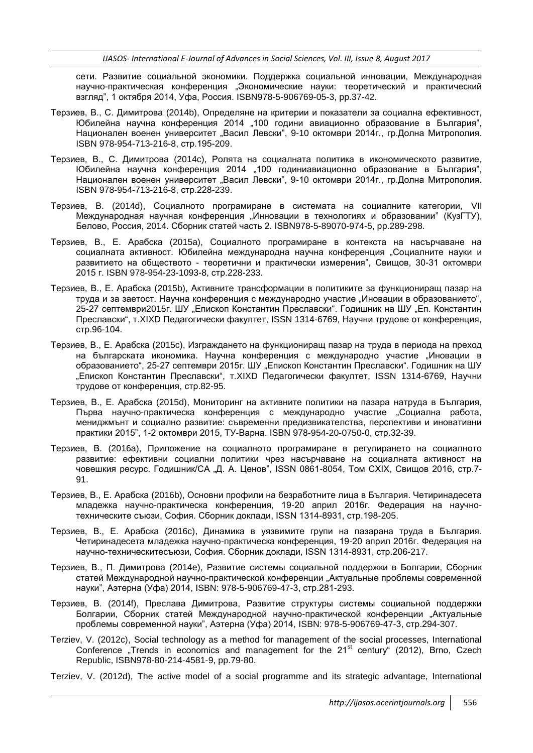сети. Развитие социальной экономики. Поддержка социальной инновации, Международная научно-практическая конференция "Экономические науки: теоретический и практический взгляд", 1 октября 2014, Уфа, Россия. ISBN978-5-906769-05-3, pp.37-42.

- Терзиев, В., С. Димитрова (2014b), Определяне на критерии и показатели за социална ефективност, Юбилейна научна конференция 2014 "100 години авиационно образование в България", Национален военен университет "Васил Левски", 9-10 октомври 2014г., гр.Долна Митрополия. ISBN 978-954-713-216-8, стр.195-209.
- Терзиев, В., С. Димитрова (2014c), Ролята на социалната политика в икономическото развитие, Юбилейна научна конференция 2014 "100 годиниавиационно образование в България", Национален военен университет "Васил Левски", 9-10 октомври 2014г., гр.Долна Митрополия. ISBN 978-954-713-216-8, стр.228-239.
- Терзиев, В. (2014d), Социалното програмиране в системата на социалните категории, VII Международная научная конференция "Инновации в технологиях и образовании" (КузГТУ), Белово, Россия, 2014. Сборник статей часть 2. ISBN978-5-89070-974-5, pp.289-298.
- Терзиев, В., Е. Арабска (2015a), Социалното програмиране в контекста на насърчаване на социалната активност. Юбилейна международна научна конференция "Социалните науки и развитието на обществото - теоретични и практически измерения", Свищов, 30-31 октомври 2015 г. ISBN 978-954-23-1093-8, стр.228-233.
- Терзиев, В., Е. Арабска (2015b), Активните трансформации в политиките за функциониращ пазар на труда и за заетост. Научна конференция с международно участие "Иновации в образованието", 25-27 септември2015г. ШУ "Епископ Константин Преславски". Годишник на ШУ "Еп. Константин Преславски", т.XIXD Педагогически факултет, ISSN 1314-6769, Научни трудове от конференция, стр.96-104.
- Терзиев, В., Е. Арабска (2015c), Изграждането на функциониращ пазар на труда в периода на преход на българската икономика. Научна конференция с международно участие "Иновации в образованието", 25-27 септември 2015г. ШУ "Епископ Константин Преславски". Годишник на ШУ "Епископ Константин Преславски", т.XIXD Педагогически факултет, ISSN 1314-6769, Научни трудове от конференция, стр.82-95.
- Терзиев, В., Е. Арабска (2015d), Мониторинг на активните политики на пазара натруда в България, Първа научно-практическа конференция с международно участие "Социална работа, мениджмънт и социално развитие: съвременни предизвикателства, перспективи и иновативни практики 2015", 1-2 октомври 2015, ТУ-Варна. ISBN 978-954-20-0750-0, стр.32-39.
- Терзиев, В. (2016a), Приложение на социалното програмиране в регулирането на социалното развитие: ефективни социални политики чрез насърчаване на социалната активност на човешкия ресурс. Годишник/СА "Д. А. Ценов", ISSN 0861-8054, Том СХIX, Свищов 2016, стр.7- 91.
- Терзиев, В., Е. Арабска (2016b), Основни профили на безработните лица в България. Четиринадесета младежка научно-практическа конференция, 19-20 април 2016г. Федерация на научнотехническите съюзи, София. Сборник доклади, ISSN 1314-8931, стр.198-205.
- Терзиев, В., Е. Арабска (2016c), Динамика в уязвимите групи на пазарана труда в България. Четиринадесета младежка научно-практическа конференция, 19-20 април 2016г. Федерация на научно-техническитесъюзи, София. Сборник доклади, ISSN 1314-8931, стр.206-217.
- Терзиев, В., П. Димитрова (2014e), Развитие системы социальной поддержки в Болгарии, Сборник статей Международной научно-практической конференции "Актуальные проблемы современной науки", Аэтерна (Уфа) 2014, ISBN: 978-5-906769-47-3, стр.281-293.
- Терзиев, В. (2014f), Преслава Димитрова, Развитие структуры системы социальной поддержки Болгарии, Сборник статей Международной научно-практической конференции "Актуальные проблемы современной науки", Аэтерна (Уфа) 2014, ISBN: 978-5-906769-47-3, стр.294-307.
- Terziev, V. (2012c), Social technology as a method for management of the social processes, International Conference "Trends in economics and management for the  $21<sup>st</sup>$  century" (2012), Brno, Czech Republic, ISBN978-80-214-4581-9, pp.79-80.
- Terziev, V. (2012d), The active model of a social programme and its strategic advantage, International